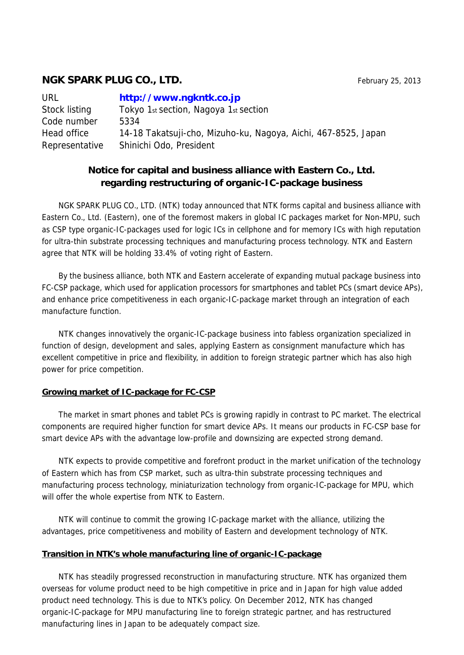# **NGK SPARK PLUG CO., LTD. February 25, 2013**

| <b>URL</b>     | http://www.ngkntk.co.jp                                        |
|----------------|----------------------------------------------------------------|
| Stock listing  | Tokyo 1st section, Nagoya 1st section                          |
| Code number    | 5334                                                           |
| Head office    | 14-18 Takatsuji-cho, Mizuho-ku, Nagoya, Aichi, 467-8525, Japan |
| Representative | Shinichi Odo, President                                        |

## **Notice for capital and business alliance with Eastern Co., Ltd. regarding restructuring of organic-IC-package business**

NGK SPARK PLUG CO., LTD. (NTK) today announced that NTK forms capital and business alliance with Eastern Co., Ltd. (Eastern), one of the foremost makers in global IC packages market for Non-MPU, such as CSP type organic-IC-packages used for logic ICs in cellphone and for memory ICs with high reputation for ultra-thin substrate processing techniques and manufacturing process technology. NTK and Eastern agree that NTK will be holding 33.4% of voting right of Eastern.

By the business alliance, both NTK and Eastern accelerate of expanding mutual package business into FC-CSP package, which used for application processors for smartphones and tablet PCs (smart device APs), and enhance price competitiveness in each organic-IC-package market through an integration of each manufacture function.

NTK changes innovatively the organic-IC-package business into fabless organization specialized in function of design, development and sales, applying Eastern as consignment manufacture which has excellent competitive in price and flexibility, in addition to foreign strategic partner which has also high power for price competition.

## **Growing market of IC-package for FC-CSP**

The market in smart phones and tablet PCs is growing rapidly in contrast to PC market. The electrical components are required higher function for smart device APs. It means our products in FC-CSP base for smart device APs with the advantage low-profile and downsizing are expected strong demand.

NTK expects to provide competitive and forefront product in the market unification of the technology of Eastern which has from CSP market, such as ultra-thin substrate processing techniques and manufacturing process technology, miniaturization technology from organic-IC-package for MPU, which will offer the whole expertise from NTK to Eastern.

NTK will continue to commit the growing IC-package market with the alliance, utilizing the advantages, price competitiveness and mobility of Eastern and development technology of NTK.

## **Transition in NTK's whole manufacturing line of organic-IC-package**

NTK has steadily progressed reconstruction in manufacturing structure. NTK has organized them overseas for volume product need to be high competitive in price and in Japan for high value added product need technology. This is due to NTK's policy. On December 2012, NTK has changed organic-IC-package for MPU manufacturing line to foreign strategic partner, and has restructured manufacturing lines in Japan to be adequately compact size.